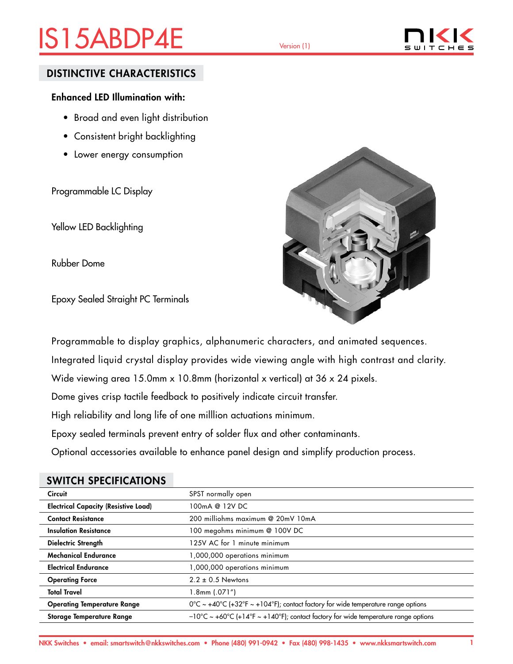# IS15ABDP4E Version (1)



### DISTINCTIVE CHARACTERISTICS

### Enhanced LED Illumination with:

- Broad and even light distribution
- Consistent bright backlighting
- Lower energy consumption

Programmable LC Display

Yellow LED Backlighting

Rubber Dome

Epoxy Sealed Straight PC Terminals



Programmable to display graphics, alphanumeric characters, and animated sequences.

Integrated liquid crystal display provides wide viewing angle with high contrast and clarity.

Wide viewing area 15.0mm x 10.8mm (horizontal x vertical) at 36 x 24 pixels.

Dome gives crisp tactile feedback to positively indicate circuit transfer.

High reliability and long life of one milllion actuations minimum.

Epoxy sealed terminals prevent entry of solder flux and other contaminants.

Optional accessories available to enhance panel design and simplify production process.

| <b>Circuit</b>                              | SPST normally open                                                                           |
|---------------------------------------------|----------------------------------------------------------------------------------------------|
| <b>Electrical Capacity (Resistive Load)</b> | 100mA @ 12V DC                                                                               |
| <b>Contact Resistance</b>                   | 200 milliohms maximum @ 20mV 10mA                                                            |
| <b>Insulation Resistance</b>                | 100 megohms minimum @ 100V DC                                                                |
| <b>Dielectric Strength</b>                  | 125V AC for 1 minute minimum                                                                 |
| <b>Mechanical Endurance</b>                 | 1,000,000 operations minimum                                                                 |
| <b>Electrical Endurance</b>                 | 1,000,000 operations minimum                                                                 |
| <b>Operating Force</b>                      | $2.2 \pm 0.5$ Newtons                                                                        |
| <b>Total Travel</b>                         | $1.8$ mm $(.071")$                                                                           |
| <b>Operating Temperature Range</b>          | $0^{\circ}$ C ~ +40°C (+32°F ~ +104°F); contact factory for wide temperature range options   |
| <b>Storage Temperature Range</b>            | $-10^{\circ}$ C ~ +60°C (+14°F ~ +140°F); contact factory for wide temperature range options |

### SWITCH SPECIFICATIONS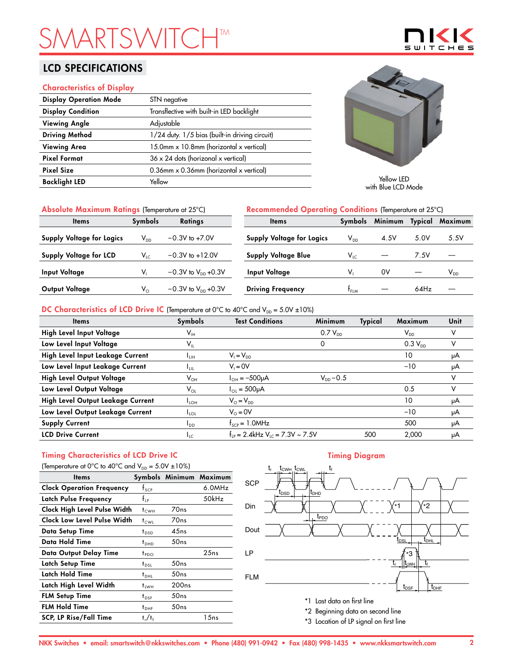# **SMARTSHTM**

## LCD SPECIFICATIONS

### Characteristics of Display

| <b>Display Operation Mode</b> | STN negative                                   |
|-------------------------------|------------------------------------------------|
| <b>Display Condition</b>      | Transflective with built-in LED backlight      |
| <b>Viewing Angle</b>          | Adjustable                                     |
| <b>Driving Method</b>         | 1/24 duty. 1/5 bias (built-in driving circuit) |
| <b>Viewing Area</b>           | 15.0mm x 10.8mm (horizontal x vertical)        |
| <b>Pixel Format</b>           | $36 \times 24$ dots (horizonal x vertical)     |
| <b>Pixel Size</b>             | 0.36mm x 0.36mm (horizontal x vertical)        |
| <b>Backlight LED</b>          | Yellow                                         |



 $\mathbf{w}$ ┯ ⊏

with Blue LCD Mode

| Absolute Maximum Ratings (Temperature at 25°C) |                         |                           | Recommended Operating Conditions (Temperature at 25°C) |                |         |         |          |
|------------------------------------------------|-------------------------|---------------------------|--------------------------------------------------------|----------------|---------|---------|----------|
| <b>Items</b>                                   | <b>Symbols</b>          | <b>Ratings</b>            | <b>Items</b>                                           | <b>Symbols</b> | Minimum | Typical | Maximum  |
| Supply Voltage for Logics                      | $V_{DD}$                | $-0.3V$ to $+7.0V$        | <b>Supply Voltage for Logics</b>                       | $V_{DD}$       | 4.5V    | 5.0V    | 5.5V     |
| <b>Supply Voltage for LCD</b>                  | $V_{LC}$                | $-0.3V$ to $+12.0V$       | <b>Supply Voltage Blue</b>                             | $V_{LC}$       |         | 7.5V    |          |
| <b>Input Voltage</b>                           |                         | $-0.3V$ to $V_{DD}$ +0.3V | Input Voltage                                          | v,             | 0V      |         | $V_{DD}$ |
| Output Voltage                                 | $\mathsf{V}_\mathsf{O}$ | $-0.3V$ to $V_{DD}$ +0.3V | <b>Driving Frequency</b>                               | $t_{FLM}$      |         | 64Hz    |          |

### DC Characteristics of LCD Drive IC (Temperature at 0°C to 40°C and  $V_{DD} = 5.0V \pm 10\%$ )

| <b>Items</b>                      | Symbols                    | <b>Test Conditions</b>                           | Minimum        | Typical | Maximum                    | Unit |
|-----------------------------------|----------------------------|--------------------------------------------------|----------------|---------|----------------------------|------|
| High Level Input Voltage          | $\mathsf{V}_{\mathsf{IH}}$ |                                                  | $0.7 V_{DD}$   |         | $\mathsf{V}_{\mathsf{DD}}$ |      |
| Low Level Input Voltage           | $\mathsf{V}_{\mathsf{IL}}$ |                                                  | 0              |         | $0.3 V_{DD}$               | v    |
| High Level Input Leakage Current  | ∎ин                        | $V_1 = V_{DD}$                                   |                |         | 10                         | μA   |
| Low Level Input Leakage Current   | Ŧш                         | $V_i = 0V$                                       |                |         | $-10$                      | μA   |
| High Level Output Voltage         | $\mathsf{V}_{\mathsf{OH}}$ | $I_{OH} = -500 \mu A$                            | $V_{DD} - 0.5$ |         |                            | v    |
| Low Level Output Voltage          | $\mathsf{V}_{\mathsf{OL}}$ | $I_{\text{O1}} = 500 \mu A$                      |                |         | 0.5                        | v    |
| High Level Output Leakage Current | $I_{LOH}$                  | $V_{\odot} = V_{\text{DD}}$                      |                |         | 10                         | μA   |
| Low Level Output Leakage Current  | $I_{\text{LOL}}$           | $V_0 = 0V$                                       |                |         | $-10$                      | μA   |
| <b>Supply Current</b>             | I <sub>DD</sub>            | $f_{\text{SCP}} = 1.0$ MHz                       |                |         | 500                        | μA   |
| <b>LCD Drive Current</b>          | $I_{LC}$                   | $f_{IP} = 2.4$ kHz V <sub>LC</sub> = 7.3V ~ 7.5V |                | 500     | 2.000                      | μA   |

## Timing Characteristics of LCD Drive IC

| (Temperature at 0°C to 40°C and $V_{DD} = 5.0V \pm 10\%$ ) |                                 |                   |                         |  |  |  |  |
|------------------------------------------------------------|---------------------------------|-------------------|-------------------------|--|--|--|--|
| ltems                                                      |                                 |                   | Symbols Minimum Maximum |  |  |  |  |
| <b>Clock Operation Frequency</b>                           | $f_{\text{SCP}}$                |                   | 6.0MHz                  |  |  |  |  |
| Latch Pulse Frequency                                      | $f_{\scriptscriptstyle \rm IP}$ |                   | 50kHz                   |  |  |  |  |
| Clock High Level Pulse Width                               | $t_{\text{CWH}}$                | 70ns              |                         |  |  |  |  |
| Clock Low Level Pulse Width                                | t <sub>cwi</sub>                | 70ns              |                         |  |  |  |  |
| Data Setup Time                                            | $t_{\text{DSD}}$                | 45ns              |                         |  |  |  |  |
| Data Hold Time                                             | $t_{DHD}$                       | 50ns              |                         |  |  |  |  |
| Data Output Delay Time                                     | t <sub>PDO</sub>                |                   | 25ns                    |  |  |  |  |
| Latch Setup Time                                           | $t_{\rm DSL}$                   | 50ns              |                         |  |  |  |  |
| Latch Hold Time                                            | $t_{DHL}$                       | 50ns              |                         |  |  |  |  |
| Latch High Level Width                                     | <sup>†</sup> LWH                | 200 <sub>ns</sub> |                         |  |  |  |  |
| <b>FLM Setup Time</b>                                      | $t_{\texttt{DSF}}$              | 50 <sub>ns</sub>  |                         |  |  |  |  |
| <b>FLM Hold Time</b>                                       | $t_{\text{DHF}}$                | 50ns              |                         |  |  |  |  |
| <b>SCP, LP Rise/Fall Time</b>                              | $t_r/t_f$                       |                   | 1 5 n s                 |  |  |  |  |

### Timing Diagram



\*3 Location of LP signal on first line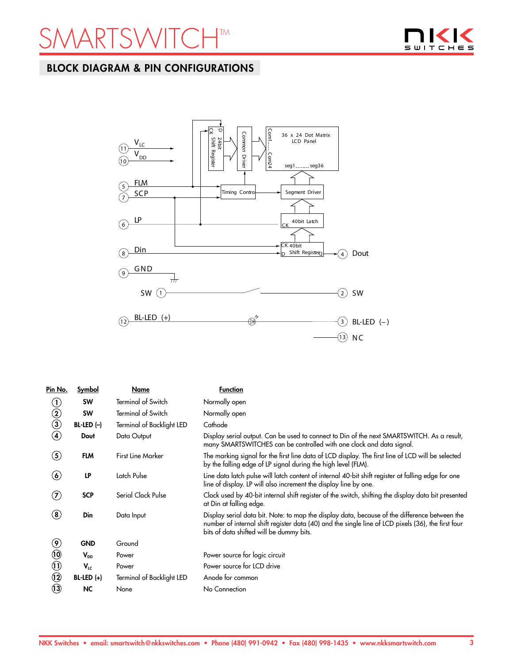## **ARTSWITCH™**



## BLOCK DIAGRAM & PIN CONFIGURATIONS



| Pin No.                         | Symbol       | Name                      | <b>Function</b>                                                                                                                                                                                                                                 |
|---------------------------------|--------------|---------------------------|-------------------------------------------------------------------------------------------------------------------------------------------------------------------------------------------------------------------------------------------------|
| $\left( \mathbf{I}\right)$      | <b>SW</b>    | <b>Terminal of Switch</b> | Normally open                                                                                                                                                                                                                                   |
| $^\copyright$                   | <b>SW</b>    | <b>Terminal of Switch</b> | Normally open                                                                                                                                                                                                                                   |
| $\circled{3}$                   | $BL-LED (-)$ | Terminal of Backlight LED | Cathode                                                                                                                                                                                                                                         |
| $\bf(4)$                        | Dout         | Data Output               | Display serial output. Can be used to connect to Din of the next SMARTSWITCH. As a result,<br>many SMARTSWITCHES can be controlled with one clock and data signal.                                                                              |
| (5)                             | <b>FLM</b>   | <b>First Line Marker</b>  | The marking signal for the first line data of LCD display. The first line of LCD will be selected<br>by the falling edge of LP signal during the high level (FLM).                                                                              |
| $\left( \bullet \right)$        | LP           | Latch Pulse               | Line data latch pulse will latch content of internal 40-bit shift register at falling edge for one<br>line of display. LP will also increment the display line by one.                                                                          |
| (7)                             | <b>SCP</b>   | Serial Clock Pulse        | Clock used by 40-bit internal shift register of the switch, shifting the display data bit presented<br>at Din at falling edge.                                                                                                                  |
| $\bf (8)$                       | Din          | Data Input                | Display serial data bit. Note: to map the display data, because of the difference between the<br>number of internal shift register data (40) and the single line of LCD pixels (36), the first four<br>bits of data shifted will be dummy bits. |
| $\left( \mathbf{\Theta}\right)$ | <b>GND</b>   | Ground                    |                                                                                                                                                                                                                                                 |
| $\circledR$                     | $V_{DD}$     | Power                     | Power source for logic circuit                                                                                                                                                                                                                  |
| $\textcircled{\scriptsize{1}}$  | $V_{LC}$     | Power                     | Power source for LCD drive                                                                                                                                                                                                                      |
| $\odot$                         | $BL-LED (+)$ | Terminal of Backlight LED | Anode for common                                                                                                                                                                                                                                |
| $\bf \Omega$                    | NC.          | None                      | No Connection                                                                                                                                                                                                                                   |